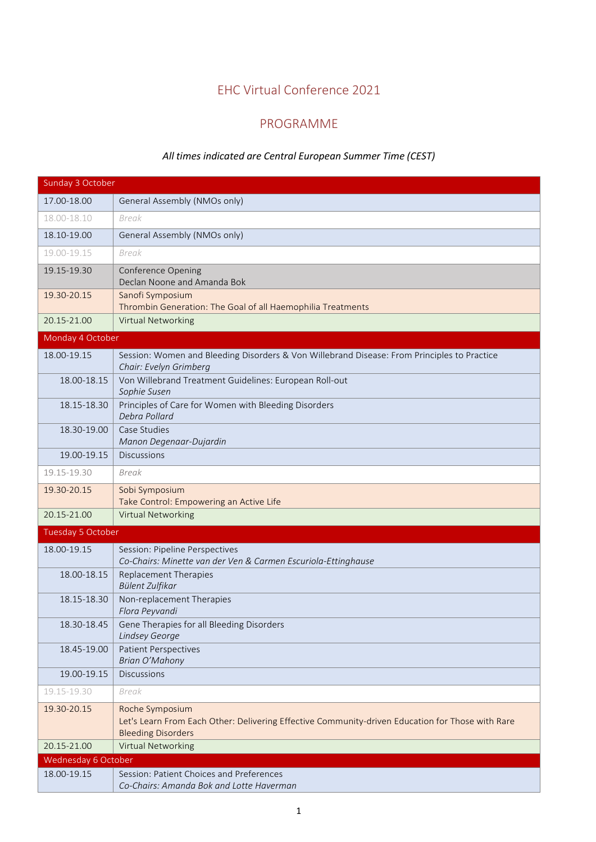## EHC Virtual Conference 2021

## PROGRAMME

## *All times indicated are Central European Summer Time (CEST)*

| Sunday 3 October    |                                                                                                                       |  |
|---------------------|-----------------------------------------------------------------------------------------------------------------------|--|
| 17.00-18.00         | General Assembly (NMOs only)                                                                                          |  |
| 18.00-18.10         | Break                                                                                                                 |  |
| 18.10-19.00         | General Assembly (NMOs only)                                                                                          |  |
| 19.00-19.15         | <b>Break</b>                                                                                                          |  |
| 19.15-19.30         | Conference Opening<br>Declan Noone and Amanda Bok                                                                     |  |
| 19.30-20.15         | Sanofi Symposium<br>Thrombin Generation: The Goal of all Haemophilia Treatments                                       |  |
| 20.15-21.00         | <b>Virtual Networking</b>                                                                                             |  |
| Monday 4 October    |                                                                                                                       |  |
| 18.00-19.15         | Session: Women and Bleeding Disorders & Von Willebrand Disease: From Principles to Practice<br>Chair: Evelyn Grimberg |  |
| 18.00-18.15         | Von Willebrand Treatment Guidelines: European Roll-out<br>Sophie Susen                                                |  |
| 18.15-18.30         | Principles of Care for Women with Bleeding Disorders<br>Debra Pollard                                                 |  |
| 18.30-19.00         | Case Studies<br>Manon Degenaar-Dujardin                                                                               |  |
| 19.00-19.15         | <b>Discussions</b>                                                                                                    |  |
| 19.15-19.30         | Break                                                                                                                 |  |
| 19.30-20.15         | Sobi Symposium<br>Take Control: Empowering an Active Life                                                             |  |
| 20.15-21.00         | <b>Virtual Networking</b>                                                                                             |  |
| Tuesday 5 October   |                                                                                                                       |  |
| 18.00-19.15         | Session: Pipeline Perspectives<br>Co-Chairs: Minette van der Ven & Carmen Escuriola-Ettinghause                       |  |
| 18.00-18.15         | Replacement Therapies<br>Bülent Zulfikar                                                                              |  |
| 18.15-18.30         | Non-replacement Therapies<br>Flora Peyvandi                                                                           |  |
| 18.30-18.45         | Gene Therapies for all Bleeding Disorders<br>Lindsey George                                                           |  |
| 18.45-19.00         | <b>Patient Perspectives</b><br>Brian O'Mahony                                                                         |  |
| 19.00-19.15         | <b>Discussions</b>                                                                                                    |  |
| 19.15-19.30         | <b>Break</b>                                                                                                          |  |
| 19.30-20.15         | Roche Symposium<br>Let's Learn From Each Other: Delivering Effective Community-driven Education for Those with Rare   |  |
| 20.15-21.00         | <b>Bleeding Disorders</b><br><b>Virtual Networking</b>                                                                |  |
| Wednesday 6 October |                                                                                                                       |  |
| 18.00-19.15         | Session: Patient Choices and Preferences<br>Co-Chairs: Amanda Bok and Lotte Haverman                                  |  |